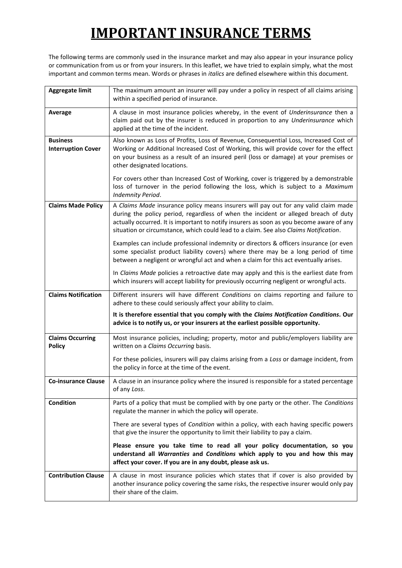The following terms are commonly used in the insurance market and may also appear in your insurance policy or communication from us or from your insurers. In this leaflet, we have tried to explain simply, what the most important and common terms mean. Words or phrases in *italics* are defined elsewhere within this document.

| <b>Aggregate limit</b>                       | The maximum amount an insurer will pay under a policy in respect of all claims arising<br>within a specified period of insurance.                                                                                                                                                                                                                               |
|----------------------------------------------|-----------------------------------------------------------------------------------------------------------------------------------------------------------------------------------------------------------------------------------------------------------------------------------------------------------------------------------------------------------------|
| Average                                      | A clause in most insurance policies whereby, in the event of Underinsurance then a<br>claim paid out by the insurer is reduced in proportion to any Underinsurance which<br>applied at the time of the incident.                                                                                                                                                |
| <b>Business</b><br><b>Interruption Cover</b> | Also known as Loss of Profits, Loss of Revenue, Consequential Loss, Increased Cost of<br>Working or Additional Increased Cost of Working, this will provide cover for the effect<br>on your business as a result of an insured peril (loss or damage) at your premises or<br>other designated locations.                                                        |
|                                              | For covers other than Increased Cost of Working, cover is triggered by a demonstrable<br>loss of turnover in the period following the loss, which is subject to a Maximum<br>Indemnity Period.                                                                                                                                                                  |
| <b>Claims Made Policy</b>                    | A Claims Made insurance policy means insurers will pay out for any valid claim made<br>during the policy period, regardless of when the incident or alleged breach of duty<br>actually occurred. It is important to notify insurers as soon as you become aware of any<br>situation or circumstance, which could lead to a claim. See also Claims Notification. |
|                                              | Examples can include professional indemnity or directors & officers insurance (or even<br>some specialist product liability covers) where there may be a long period of time<br>between a negligent or wrongful act and when a claim for this act eventually arises.                                                                                            |
|                                              | In Claims Made policies a retroactive date may apply and this is the earliest date from<br>which insurers will accept liability for previously occurring negligent or wrongful acts.                                                                                                                                                                            |
| <b>Claims Notification</b>                   | Different insurers will have different Conditions on claims reporting and failure to<br>adhere to these could seriously affect your ability to claim.                                                                                                                                                                                                           |
|                                              | It is therefore essential that you comply with the Claims Notification Conditions. Our<br>advice is to notify us, or your insurers at the earliest possible opportunity.                                                                                                                                                                                        |
| <b>Claims Occurring</b><br><b>Policy</b>     | Most insurance policies, including; property, motor and public/employers liability are<br>written on a Claims Occurring basis.                                                                                                                                                                                                                                  |
|                                              | For these policies, insurers will pay claims arising from a Loss or damage incident, from<br>the policy in force at the time of the event.                                                                                                                                                                                                                      |
| <b>Co-insurance Clause</b>                   | A clause in an insurance policy where the insured is responsible for a stated percentage<br>of any Loss.                                                                                                                                                                                                                                                        |
| <b>Condition</b>                             | Parts of a policy that must be complied with by one party or the other. The Conditions<br>regulate the manner in which the policy will operate.                                                                                                                                                                                                                 |
|                                              | There are several types of Condition within a policy, with each having specific powers<br>that give the insurer the opportunity to limit their liability to pay a claim.                                                                                                                                                                                        |
|                                              | Please ensure you take time to read all your policy documentation, so you<br>understand all Warranties and Conditions which apply to you and how this may<br>affect your cover. If you are in any doubt, please ask us.                                                                                                                                         |
| <b>Contribution Clause</b>                   | A clause in most insurance policies which states that if cover is also provided by<br>another insurance policy covering the same risks, the respective insurer would only pay<br>their share of the claim.                                                                                                                                                      |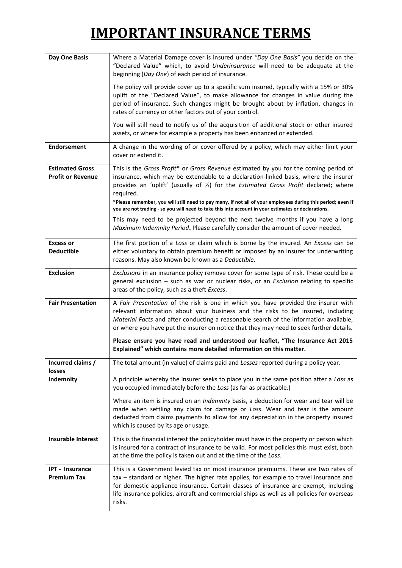| Day One Basis                                      | Where a Material Damage cover is insured under "Day One Basis" you decide on the<br>"Declared Value" which, to avoid Underinsurance will need to be adequate at the<br>beginning (Day One) of each period of insurance.                                                                                                                                                       |
|----------------------------------------------------|-------------------------------------------------------------------------------------------------------------------------------------------------------------------------------------------------------------------------------------------------------------------------------------------------------------------------------------------------------------------------------|
|                                                    | The policy will provide cover up to a specific sum insured, typically with a 15% or 30%<br>uplift of the "Declared Value", to make allowance for changes in value during the<br>period of insurance. Such changes might be brought about by inflation, changes in<br>rates of currency or other factors out of your control.                                                  |
|                                                    | You will still need to notify us of the acquisition of additional stock or other insured<br>assets, or where for example a property has been enhanced or extended.                                                                                                                                                                                                            |
| <b>Endorsement</b>                                 | A change in the wording of or cover offered by a policy, which may either limit your<br>cover or extend it.                                                                                                                                                                                                                                                                   |
| <b>Estimated Gross</b><br><b>Profit or Revenue</b> | This is the Gross Profit* or Gross Revenue estimated by you for the coming period of<br>insurance, which may be extendable to a declaration-linked basis, where the insurer<br>provides an 'uplift' (usually of 1/3) for the Estimated Gross Profit declared; where<br>required.                                                                                              |
|                                                    | *Please remember, you will still need to pay many, if not all of your employees during this period; even if<br>you are not trading - so you will need to take this into account in your estimates or declarations.                                                                                                                                                            |
|                                                    | This may need to be projected beyond the next twelve months if you have a long<br>Maximum Indemnity Period. Please carefully consider the amount of cover needed.                                                                                                                                                                                                             |
| <b>Excess or</b><br><b>Deductible</b>              | The first portion of a Loss or claim which is borne by the insured. An Excess can be<br>either voluntary to obtain premium benefit or imposed by an insurer for underwriting<br>reasons. May also known be known as a Deductible.                                                                                                                                             |
| <b>Exclusion</b>                                   | Exclusions in an insurance policy remove cover for some type of risk. These could be a<br>general exclusion - such as war or nuclear risks, or an Exclusion relating to specific<br>areas of the policy, such as a theft Excess.                                                                                                                                              |
| <b>Fair Presentation</b>                           | A Fair Presentation of the risk is one in which you have provided the insurer with<br>relevant information about your business and the risks to be insured, including<br>Material Facts and after conducting a reasonable search of the information available,<br>or where you have put the insurer on notice that they may need to seek further details.                     |
|                                                    | Please ensure you have read and understood our leaflet, "The Insurance Act 2015<br>Explained" which contains more detailed information on this matter.                                                                                                                                                                                                                        |
| Incurred claims /<br>losses                        | The total amount (in value) of claims paid and Losses reported during a policy year.                                                                                                                                                                                                                                                                                          |
| Indemnity                                          | A principle whereby the insurer seeks to place you in the same position after a Loss as<br>you occupied immediately before the Loss (as far as practicable.)                                                                                                                                                                                                                  |
|                                                    | Where an item is insured on an Indemnity basis, a deduction for wear and tear will be<br>made when settling any claim for damage or Loss. Wear and tear is the amount<br>deducted from claims payments to allow for any depreciation in the property insured<br>which is caused by its age or usage.                                                                          |
| <b>Insurable Interest</b>                          | This is the financial interest the policyholder must have in the property or person which<br>is insured for a contract of insurance to be valid. For most policies this must exist, both<br>at the time the policy is taken out and at the time of the Loss.                                                                                                                  |
| <b>IPT - Insurance</b><br><b>Premium Tax</b>       | This is a Government levied tax on most insurance premiums. These are two rates of<br>tax - standard or higher. The higher rate applies, for example to travel insurance and<br>for domestic appliance insurance. Certain classes of insurance are exempt, including<br>life insurance policies, aircraft and commercial ships as well as all policies for overseas<br>risks. |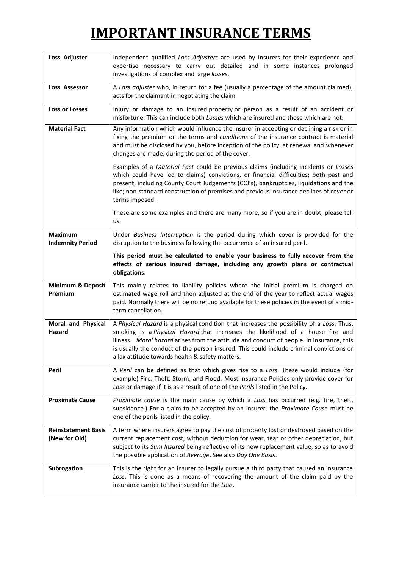| Loss Adjuster                               | Independent qualified Loss Adjusters are used by Insurers for their experience and<br>expertise necessary to carry out detailed and in some instances prolonged<br>investigations of complex and large losses.                                                                                                                                                                                                         |
|---------------------------------------------|------------------------------------------------------------------------------------------------------------------------------------------------------------------------------------------------------------------------------------------------------------------------------------------------------------------------------------------------------------------------------------------------------------------------|
| Loss Assessor                               | A Loss adjuster who, in return for a fee (usually a percentage of the amount claimed),<br>acts for the claimant in negotiating the claim.                                                                                                                                                                                                                                                                              |
| <b>Loss or Losses</b>                       | Injury or damage to an insured property or person as a result of an accident or<br>misfortune. This can include both Losses which are insured and those which are not.                                                                                                                                                                                                                                                 |
| <b>Material Fact</b>                        | Any information which would influence the insurer in accepting or declining a risk or in<br>fixing the premium or the terms and conditions of the insurance contract is material<br>and must be disclosed by you, before inception of the policy, at renewal and whenever<br>changes are made, during the period of the cover.                                                                                         |
|                                             | Examples of a Material Fact could be previous claims (including incidents or Losses<br>which could have led to claims) convictions, or financial difficulties; both past and<br>present, including County Court Judgements (CCJ's), bankruptcies, liquidations and the<br>like; non-standard construction of premises and previous insurance declines of cover or<br>terms imposed.                                    |
|                                             | These are some examples and there are many more, so if you are in doubt, please tell<br>us.                                                                                                                                                                                                                                                                                                                            |
| <b>Maximum</b><br><b>Indemnity Period</b>   | Under Business Interruption is the period during which cover is provided for the<br>disruption to the business following the occurrence of an insured peril.                                                                                                                                                                                                                                                           |
|                                             | This period must be calculated to enable your business to fully recover from the<br>effects of serious insured damage, including any growth plans or contractual<br>obligations.                                                                                                                                                                                                                                       |
| <b>Minimum &amp; Deposit</b><br>Premium     | This mainly relates to liability policies where the initial premium is charged on<br>estimated wage roll and then adjusted at the end of the year to reflect actual wages<br>paid. Normally there will be no refund available for these policies in the event of a mid-<br>term cancellation.                                                                                                                          |
| Moral and Physical<br>Hazard                | A Physical Hazard is a physical condition that increases the possibility of a Loss. Thus,<br>smoking is a Physical Hazard that increases the likelihood of a house fire and<br>illness. Moral hazard arises from the attitude and conduct of people. In insurance, this<br>is usually the conduct of the person insured. This could include criminal convictions or<br>a lax attitude towards health & safety matters. |
| Peril                                       | A Peril can be defined as that which gives rise to a Loss. These would include (for<br>example) Fire, Theft, Storm, and Flood. Most Insurance Policies only provide cover for<br>Loss or damage if it is as a result of one of the Perils listed in the Policy.                                                                                                                                                        |
| <b>Proximate Cause</b>                      | Proximate cause is the main cause by which a Loss has occurred (e.g. fire, theft,<br>subsidence.) For a claim to be accepted by an insurer, the Proximate Cause must be<br>one of the perils listed in the policy.                                                                                                                                                                                                     |
| <b>Reinstatement Basis</b><br>(New for Old) | A term where insurers agree to pay the cost of property lost or destroyed based on the<br>current replacement cost, without deduction for wear, tear or other depreciation, but<br>subject to its Sum Insured being reflective of its new replacement value, so as to avoid<br>the possible application of Average. See also Day One Basis.                                                                            |
| Subrogation                                 | This is the right for an insurer to legally pursue a third party that caused an insurance<br>Loss. This is done as a means of recovering the amount of the claim paid by the<br>insurance carrier to the insured for the Loss.                                                                                                                                                                                         |